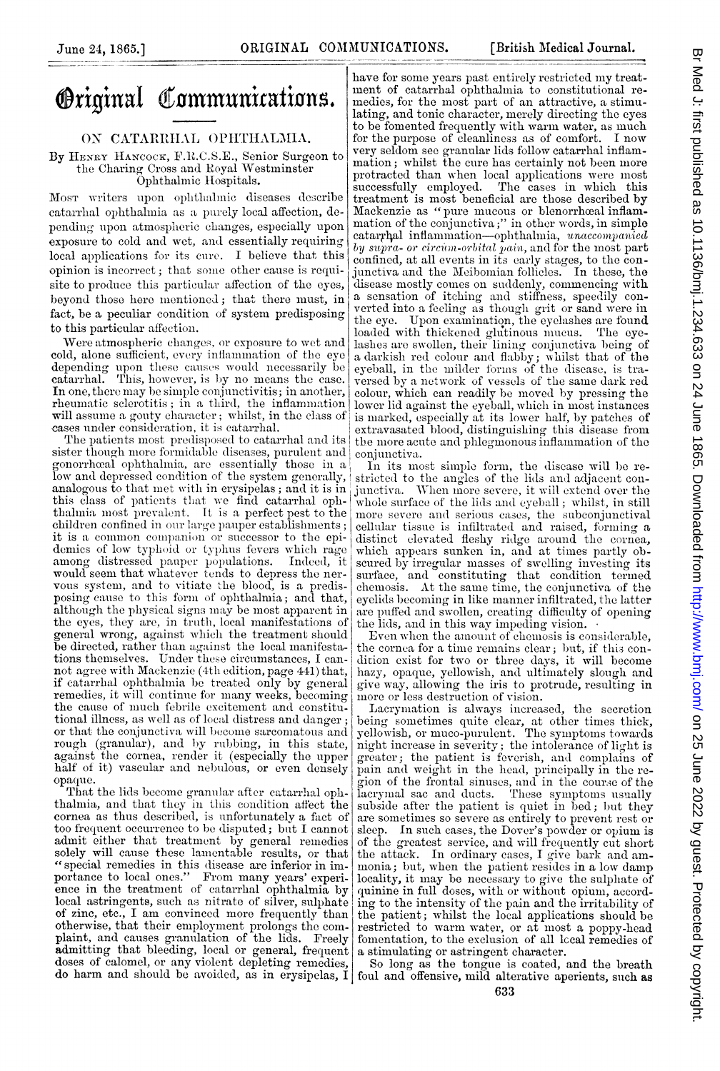## **Original Communications.**

## ON CATARRHAL OPHTHALMIA.

By HENRY HANCOCK, F.R.C.S.E., Senior Surgeon to the Charing Cross and Royal Westminster Ophthalmic Hospitals.

Most writers upon ophthalmic diseases describe catarrhal ophthalmia as a purely local affection, depending upon atmospheric changes, especially upon exposure to cold and wet, and essentially requiring local applications for its cure. I believe that this opinion is incorrect; that some other cause is requisite to produce this particular affection of the eyes, beyond those here mentioned; that there must, in fact, be a peculiar condition of system predisposing to this particular affection.

Were atmospheric changes, or exposure to wet and cold, alone sufficient, every inflammation of the eye depending upon these causes would necessarily be catarrhal. This, however, is by no means the case. In one, there may be simple conjunctivitis; in another, rheumatic sclerotitis; in a third, the inflammation will assume a gouty character; whilst, in the class of cases under consideration, it is catarrhal.

The patients most predisposed to catarrhal and its sister though more formidable diseases, purulent and gonorrhead ophthalmia, are essentially those in a low and depressed condition of the system generally, analogous to that met with in ery sipelas; and it is in this class of patients that we find catarrhal oph-<br>thalmia most prevalent. It is a perfect pest to the children confined in our large pauper establishments; it is a common companion or successor to the epidemics of low typhoid or typhus fevers which rage among distressed pauper populations. Indeed, it would seem that whatever tends to depress the nervous system, and to vitate the blood, is a predis-<br>posing cause to this form of ophthalmia; and that, although the physical signs may be most apparent in the eyes, they are, in truth, local manifestations of general wrong, against which the treatment should be directed, rather than against the local manifestations themselves. Under these circumstances, I cannot agree with Mackenzie (4th edition, page 441) that, if catarrhal ophthalmia be treated only by general remedies, it will continue for many weeks, becoming the cause of much febrile excitement and constitutional illness, as well as of local distress and danger; or that the conjunctiva will become sarcomatous and rough (granular), and by rubbing, in this state, against the cornea, render it (especially the upper half of it) vascular and nebulous, or even densely opaque.

That the lids become granular after catarrhal ophthalmia, and that they in this condition affect the cornea as thus described, is unfortunately a fact of too frequent occurrence to be disputed; but I cannot admit either that treatment by general remedies solely will cause these lamentable results, or that "special remedies in this disease are inferior in importance to local ones." From many years' experience in the treatment of catarrhal ophthalmia by local astringents, such as nitrate of silver, sulphate of zinc, etc., I am convinced more frequently than otherwise, that their employment prolongs the complaint, and causes granulation of the lids. Freely admitting that bleeding, local or general, frequent doses of calomel, or any violent depleting remedies,

have for some years past entirely restricted my treatment of catarrhal ophthalmia to constitutional remedies, for the most part of an attractive, a stimulating, and tonic character, merely directing the eyes to be fomented frequently with warm water, as much for the purpose of cleanliness as of comfort. I now very seldom see granular lids follow catarrhal inflammation; whilst the cure has certainly not been more protracted than when local applications were most The cases in which this successfully employed. treatment is most beneficial are those described by Mackenzie as "pure mucous or blenorrhoad inflam-<br>mation of the conjunctiva;" in other words, in simple catarrhal inflammation—ophthalmia, unaccompanied<br>by supra- or circum-orbital pain, and for the most part confined, at all events in its early stages, to the conjunctiva and the Meibomian follicles. In these, the disease mostly comes on suddenly, commencing with a sensation of itching and stiffness, speedily converted into a feeling as though grit or sand were in the eve. Upon examination, the eyelashes are found loaded with thickened glutinous mucus. The eyelashes are swollen, their lining conjunctiva being of a darkish red colour and flabby; whilst that of the eyeball, in the milder forms of the disease, is traversed by a network of vessels of the same dark red colour, which can readily be moved by pressing the lower lid against the eyeball, which in most instances is marked, especially at its lower half, by patches of extravasated blood, distinguishing this disease from the more acute and phlegmonous inflammation of the conjunctiva.

In its most simple form, the disease will be restricted to the angles of the lids and adjacent con-<br>junctiva. When more severe, it will extend over the whole surface of the lids and eyeball; whilst, in still more severe and serious cases, the subconjunctival cellular tissue is infiltrated and raised, forming a distinct elevated fleshy ridge around the cornea, which appears sunken in, and at times partly obscured by irregular masses of swelling investing its surface, and constituting that condition termed chemosis. At the same time, the conjunctiva of the eyelids becoming in like manner infiltrated, the latter are puffed and swollen, creating difficulty of opening the lids, and in this way impeding vision.

Even when the amount of chemosis is considerable. the cornea for a time remains clear; but, if this condition exist for two or three days, it will become hazy, opaque, yellowish, and ultimately slough and give way, allowing the iris to protrude, resulting in more or less destruction of vision.

Lacrymation is always increased, the secretion being sometimes quite clear, at other times thick, yellowish, or muco-purulent. The symptoms towards night increase in severity; the intolerance of light is greater; the patient is feverish, and complains of<br>pain and weight in the head, principally in the region of the frontal sinuses, and in the course of the lacrymal sac and ducts. These symptoms usually subside after the patient is quiet in bed; but they are sometimes so severe as entirely to prevent rest or sleep. In such cases, the Dover's powder or opium is of the greatest service, and will frequently cut short the attack. In ordinary cases, I give bark and ammonia; but, when the patient resides in a low damp locality, it may be necessary to give the sulphate of<br>quinine in full doses, with or without opium, according to the intensity of the pain and the irritability of the patient; whilst the local applications should be restricted to warm water, or at most a poppy-head fomentation, to the exclusion of all local remedies of a stimulating or astringent character.

So long as the tongue is coated, and the breath do harm and should be avoided, as in erysipelas, I foul and offensive, mild alterative aperients, such as